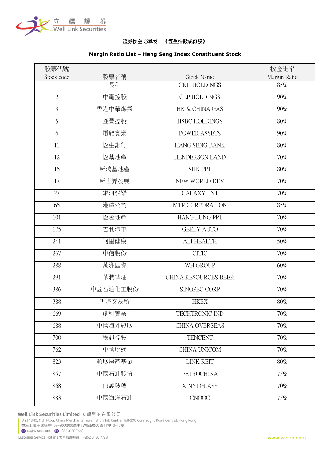

## 證券按金比率表 **-** 《恆生指數成份股》

# 股票代號 Stock code | 股票名稱 | Stock Name 按金比率 Margin Ratio 1 長和 CKH HOLDINGS 85% 2 中電控股 | CLP HOLDINGS | 90% 3 香港中華煤氣 HK & CHINA GAS 90% 5 HSBC HOLDINGS 80% 6 電能實業 POWER ASSETS 90% 11 恆生銀行 HANG SENG BANK 80% 12 恆基地產 HENDERSON LAND 70% 16 新鴻基地產 SHK PPT 80% 17 新世界發展 NEW WORLD DEV 70% 27 銀河娛樂 GALAXY ENT 70% 66 港鐵公司 MTR CORPORATION 85% 101 恆隆地產 HANG LUNG PPT 70% 175 吉利汽車 GEELY AUTO 70% 241 阿里健康 ALI HEALTH 50% 267 中信股份 CITIC 70% 288 萬洲國際 WH GROUP 60% 291 華潤啤酒 CHINA RESOURCES BEER 70% 386 | 中國石油化工股份 | SINOPEC CORP | 70% 388 | 香港交易所 | HKEX | 80% 669 創科實業 TECHTRONIC IND 70% 688 中國海外發展 CHINA OVERSEAS 70% 700 騰訊控股 TENCENT 70% 762 中國聯通 I CHINA UNICOM 70% 823 領展房產基金 LINK REIT 80% 857 中國石油股份 PETROCHINA 75% 868 信義玻璃 70% 883 中國海洋石油 CNOOC 1 75%

#### **Margin Ratio List – Hang Seng Index Constituent Stock**

Well Link Securities Limited 立橋證券有限公司

Unit 13-15, 11th Floor, China Merchants Tower, Shun Tak Centre, 168-200 Connaught Road Central, Hong Kong 香港上環干諾道中168-200號信德中心招商局大廈11樓13-15室 Signal Com (-1852 3150 7668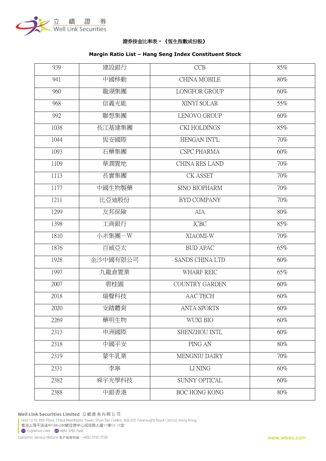

# 證券按金比率表 **-** 《恆生指數成份股》

# **Margin Ratio List – Hang Seng Index Constituent Stock**

| 939  | 建設銀行     | <b>CCB</b>             | 85%    |
|------|----------|------------------------|--------|
| 941  | 中國移動     | <b>CHINA MOBILE</b>    | 80%    |
| 960  | 龍湖集團     | LONGFOR GROUP          | 60%    |
| 968  | 信義光能     | XINYI SOLAR            | 55%    |
| 992  | 聯想集團     | <b>LENOVO GROUP</b>    | 60%    |
| 1038 | 長江基建集團   | <b>CKI HOLDINGS</b>    | 85%    |
| 1044 | 恆安國際     | HENGAN INT'L           | 70%    |
| 1093 | 石藥集團     | <b>CSPC PHARMA</b>     | 60%    |
| 1109 | 華潤置地     | <b>CHINA RES LAND</b>  | 70%    |
| 1113 | 長實集團     | CK ASSET               | 70%    |
| 1177 | 中國生物製藥   | <b>SINO BIOPHARM</b>   | 70%    |
| 1211 | 比亞迪股份    | <b>BYD COMPANY</b>     | 70%    |
| 1299 | 友邦保險     | AIA                    | 80%    |
| 1398 | 工商銀行     | <b>ICBC</b>            | 85%    |
| 1810 | 小米集團-W   | XIAOMI-W               | 70%    |
| 1876 | 百威亞太     | <b>BUD APAC</b>        | 65%    |
| 1928 | 金沙中國有限公司 | <b>SANDS CHINA LTD</b> | 60%    |
| 1997 | 九龍倉置業    | WHARF REIC             | 65%    |
| 2007 | 碧桂園      | <b>COUNTRY GARDEN</b>  | 60%    |
| 2018 | 瑞聲科技     | AAC TECH               | 60%    |
| 2020 | 安踏體育     | <b>ANTA SPORTS</b>     | 60%    |
| 2269 | 藥明生物     | WUXI BIO               | 60%    |
| 2313 | 申洲國際     | SHENZHOU INTL          | 60%    |
| 2318 | 中國平安     | PING AN                | 80%    |
| 2319 | 蒙牛乳業     | MENGNIU DAIRY          | 70%    |
| 2331 | 李寧       | LI NING                | 60%    |
| 2382 | 舜宇光學科技   | SUNNY OPTICAL          | 60%    |
| 2388 | 中銀香港     | BOC HONG KONG          | $80\%$ |

Well Link Securities Limited 立橋證券有限公司

Unit 13-15, 11th Floor, China Merchants Tower, Shun Tak Centre, 168-200 Connaught Road Central, Hong Kong 香港上環干諾道中168-200號信德中心招商局大廈11樓13-15室 Signalsec.com - +852 3150 7668